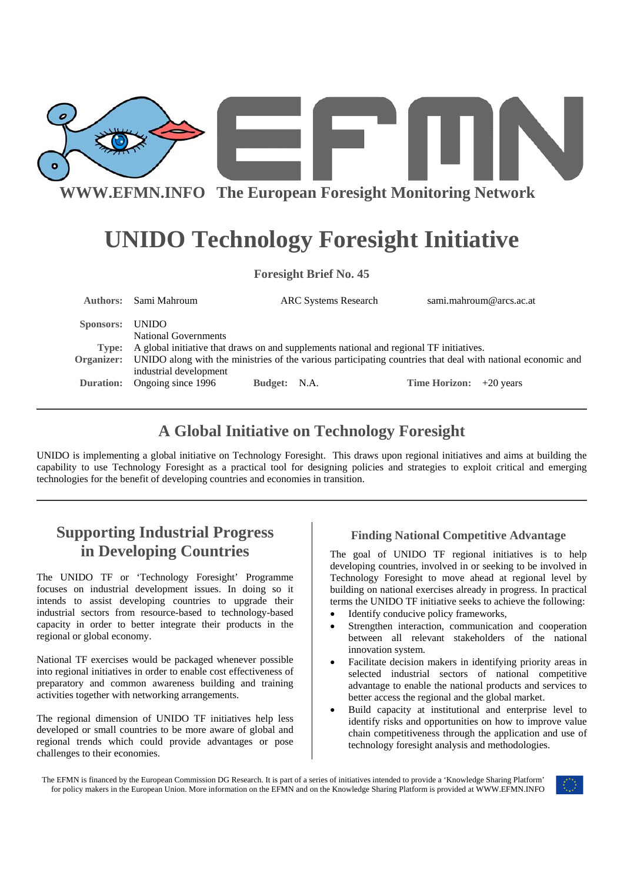

# **UNIDO Technology Foresight Initiative**

| <b>Foresight Brief No. 45</b> |                                                                                                                                       |              |                             |  |                      |                         |
|-------------------------------|---------------------------------------------------------------------------------------------------------------------------------------|--------------|-----------------------------|--|----------------------|-------------------------|
| Authors:                      | Sami Mahroum                                                                                                                          |              | <b>ARC Systems Research</b> |  |                      | sami.mahroum@arcs.ac.at |
| Sponsors:                     | <b>UNIDO</b><br>National Governments                                                                                                  |              |                             |  |                      |                         |
| Type:                         | A global initiative that draws on and supplements national and regional TF initiatives.                                               |              |                             |  |                      |                         |
| Organizer:                    | UNIDO along with the ministries of the various participating countries that deal with national economic and<br>industrial development |              |                             |  |                      |                         |
| <b>Duration:</b>              | Ongoing since 1996                                                                                                                    | Budget: N.A. |                             |  | <b>Time Horizon:</b> | $+20$ years             |

### **A Global Initiative on Technology Foresight**

UNIDO is implementing a global initiative on Technology Foresight. This draws upon regional initiatives and aims at building the capability to use Technology Foresight as a practical tool for designing policies and strategies to exploit critical and emerging technologies for the benefit of developing countries and economies in transition.

## **Supporting Industrial Progress in Developing Countries**

The UNIDO TF or 'Technology Foresight' Programme focuses on industrial development issues. In doing so it intends to assist developing countries to upgrade their industrial sectors from resource-based to technology-based capacity in order to better integrate their products in the regional or global economy.

National TF exercises would be packaged whenever possible into regional initiatives in order to enable cost effectiveness of preparatory and common awareness building and training activities together with networking arrangements.

The regional dimension of UNIDO TF initiatives help less developed or small countries to be more aware of global and regional trends which could provide advantages or pose challenges to their economies.

#### **Finding National Competitive Advantage**

The goal of UNIDO TF regional initiatives is to help developing countries, involved in or seeking to be involved in Technology Foresight to move ahead at regional level by building on national exercises already in progress. In practical terms the UNIDO TF initiative seeks to achieve the following:

- Identify conducive policy frameworks,
- Strengthen interaction, communication and cooperation between all relevant stakeholders of the national innovation system.
- Facilitate decision makers in identifying priority areas in selected industrial sectors of national competitive advantage to enable the national products and services to better access the regional and the global market.
- Build capacity at institutional and enterprise level to identify risks and opportunities on how to improve value chain competitiveness through the application and use of technology foresight analysis and methodologies.

The EFMN is financed by the European Commission DG Research. It is part of a series of initiatives intended to provide a 'Knowledge Sharing Platform' for policy makers in the European Union. More information on the EFMN and on the Knowledge Sharing Platform is provided at WWW.EFMN.INFO

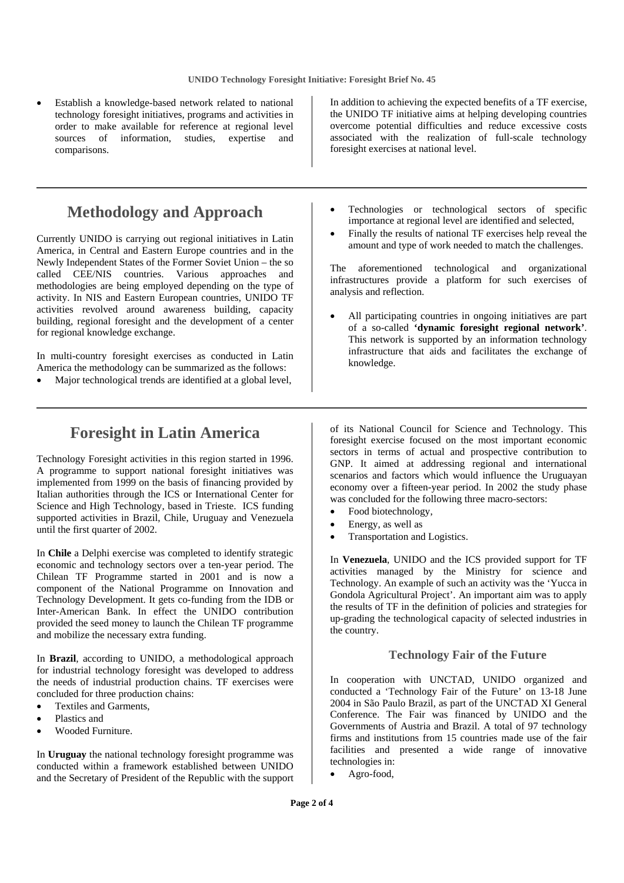Establish a knowledge-based network related to national technology foresight initiatives, programs and activities in order to make available for reference at regional level sources of information, studies, expertise and comparisons.

### **Methodology and Approach**

Currently UNIDO is carrying out regional initiatives in Latin America, in Central and Eastern Europe countries and in the Newly Independent States of the Former Soviet Union – the so called CEE/NIS countries. Various approaches and methodologies are being employed depending on the type of activity. In NIS and Eastern European countries, UNIDO TF activities revolved around awareness building, capacity building, regional foresight and the development of a center for regional knowledge exchange.

In multi-country foresight exercises as conducted in Latin America the methodology can be summarized as the follows:

Major technological trends are identified at a global level,

In addition to achieving the expected benefits of a TF exercise, the UNIDO TF initiative aims at helping developing countries overcome potential difficulties and reduce excessive costs associated with the realization of full-scale technology foresight exercises at national level.

- Technologies or technological sectors of specific importance at regional level are identified and selected,
- Finally the results of national TF exercises help reveal the amount and type of work needed to match the challenges.

The aforementioned technological and organizational infrastructures provide a platform for such exercises of analysis and reflection.

• All participating countries in ongoing initiatives are part of a so-called **'dynamic foresight regional network'**. This network is supported by an information technology infrastructure that aids and facilitates the exchange of knowledge.

### **Foresight in Latin America**

Technology Foresight activities in this region started in 1996. A programme to support national foresight initiatives was implemented from 1999 on the basis of financing provided by Italian authorities through the ICS or International Center for Science and High Technology, based in Trieste. ICS funding supported activities in Brazil, Chile, Uruguay and Venezuela until the first quarter of 2002.

In **Chile** a Delphi exercise was completed to identify strategic economic and technology sectors over a ten-year period. The Chilean TF Programme started in 2001 and is now a component of the National Programme on Innovation and Technology Development. It gets co-funding from the IDB or Inter-American Bank. In effect the UNIDO contribution provided the seed money to launch the Chilean TF programme and mobilize the necessary extra funding.

In **Brazil**, according to UNIDO, a methodological approach for industrial technology foresight was developed to address the needs of industrial production chains. TF exercises were concluded for three production chains:

- Textiles and Garments,
- Plastics and
- Wooded Furniture.

In **Uruguay** the national technology foresight programme was conducted within a framework established between UNIDO and the Secretary of President of the Republic with the support

of its National Council for Science and Technology. This foresight exercise focused on the most important economic sectors in terms of actual and prospective contribution to GNP. It aimed at addressing regional and international scenarios and factors which would influence the Uruguayan economy over a fifteen-year period. In 2002 the study phase was concluded for the following three macro-sectors:

- Food biotechnology,
- Energy, as well as
- Transportation and Logistics.

In **Venezuela**, UNIDO and the ICS provided support for TF activities managed by the Ministry for science and Technology. An example of such an activity was the 'Yucca in Gondola Agricultural Project'. An important aim was to apply the results of TF in the definition of policies and strategies for up-grading the technological capacity of selected industries in the country.

#### **Technology Fair of the Future**

In cooperation with UNCTAD, UNIDO organized and conducted a 'Technology Fair of the Future' on 13-18 June 2004 in São Paulo Brazil, as part of the UNCTAD XI General Conference. The Fair was financed by UNIDO and the Governments of Austria and Brazil. A total of 97 technology firms and institutions from 15 countries made use of the fair facilities and presented a wide range of innovative technologies in:

• Agro-food,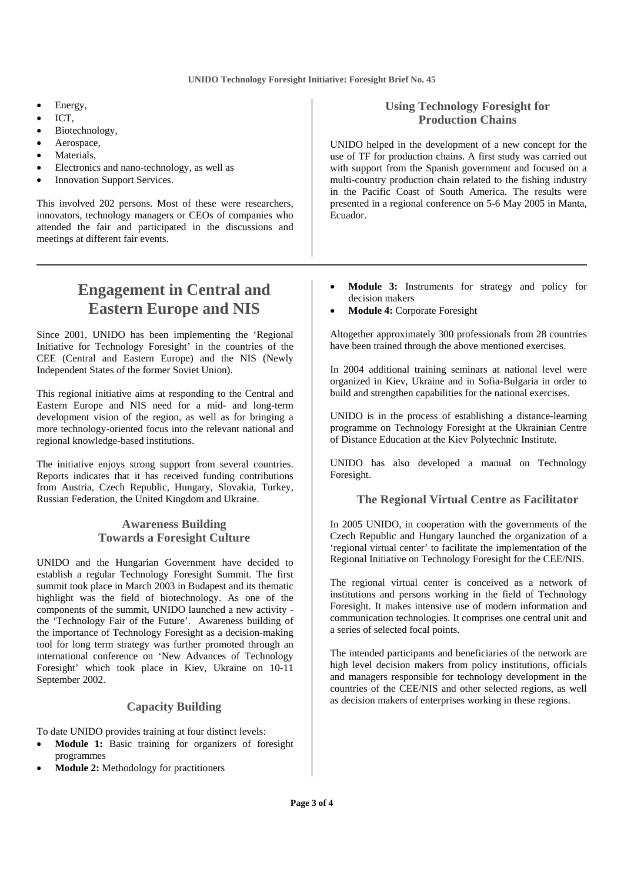- Energy,
- ICT,
- Biotechnology,
- Aerospace,
- Materials,
- Electronics and nano-technology, as well as
- **Innovation Support Services.**

This involved 202 persons. Most of these were researchers, innovators, technology managers or CEOs of companies who attended the fair and participated in the discussions and meetings at different fair events.

#### **Using Technology Foresight for Production Chains**

UNIDO helped in the development of a new concept for the use of TF for production chains. A first study was carried out with support from the Spanish government and focused on a multi-country production chain related to the fishing industry in the Pacific Coast of South America. The results were presented in a regional conference on 5-6 May 2005 in Manta, Ecuador.

# **Engagement in Central and Eastern Europe and NIS**

Since 2001, UNIDO has been implementing the 'Regional Initiative for Technology Foresight' in the countries of the CEE (Central and Eastern Europe) and the NIS (Newly Independent States of the former Soviet Union).

This regional initiative aims at responding to the Central and Eastern Europe and NIS need for a mid- and long-term development vision of the region, as well as for bringing a more technology-oriented focus into the relevant national and regional knowledge-based institutions.

The initiative enjoys strong support from several countries. Reports indicates that it has received funding contributions from Austria, Czech Republic, Hungary, Slovakia, Turkey, Russian Federation, the United Kingdom and Ukraine.

#### **Awareness Building Towards a Foresight Culture**

UNIDO and the Hungarian Government have decided to establish a regular Technology Foresight Summit. The first summit took place in March 2003 in Budapest and its thematic highlight was the field of biotechnology. As one of the components of the summit, UNIDO launched a new activity the 'Technology Fair of the Future'. Awareness building of the importance of Technology Foresight as a decision-making tool for long term strategy was further promoted through an international conference on 'New Advances of Technology Foresight' which took place in Kiev, Ukraine on 10-11 September 2002.

#### **Capacity Building**

To date UNIDO provides training at four distinct levels:

- **Module 1:** Basic training for organizers of foresight programmes
- **Module 2:** Methodology for practitioners
- **Module 3:** Instruments for strategy and policy for decision makers
- **Module 4: Corporate Foresight**

Altogether approximately 300 professionals from 28 countries have been trained through the above mentioned exercises.

In 2004 additional training seminars at national level were organized in Kiev, Ukraine and in Sofia-Bulgaria in order to build and strengthen capabilities for the national exercises.

UNIDO is in the process of establishing a distance-learning programme on Technology Foresight at the Ukrainian Centre of Distance Education at the Kiev Polytechnic Institute.

UNIDO has also developed a manual on Technology Foresight.

#### **The Regional Virtual Centre as Facilitator**

In 2005 UNIDO, in cooperation with the governments of the Czech Republic and Hungary launched the organization of a 'regional virtual center' to facilitate the implementation of the Regional Initiative on Technology Foresight for the CEE/NIS.

The regional virtual center is conceived as a network of institutions and persons working in the field of Technology Foresight. It makes intensive use of modern information and communication technologies. It comprises one central unit and a series of selected focal points.

The intended participants and beneficiaries of the network are high level decision makers from policy institutions, officials and managers responsible for technology development in the countries of the CEE/NIS and other selected regions, as well as decision makers of enterprises working in these regions.